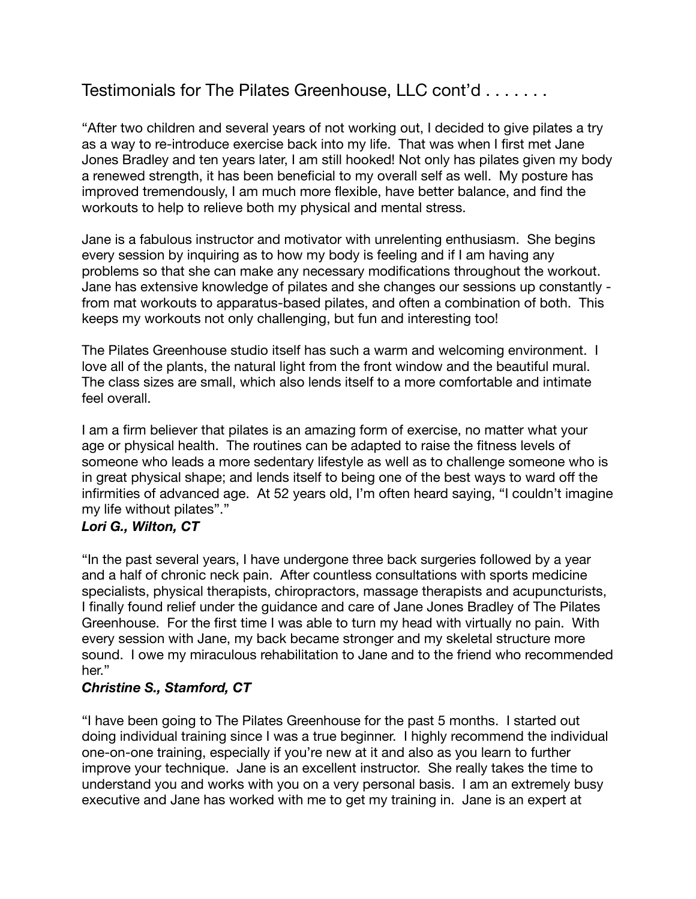# Testimonials for The Pilates Greenhouse, LLC cont'd . . . . . . .

"After two children and several years of not working out, I decided to give pilates a try as a way to re-introduce exercise back into my life. That was when I first met Jane Jones Bradley and ten years later, I am still hooked! Not only has pilates given my body a renewed strength, it has been beneficial to my overall self as well. My posture has improved tremendously, I am much more flexible, have better balance, and find the workouts to help to relieve both my physical and mental stress.

Jane is a fabulous instructor and motivator with unrelenting enthusiasm. She begins every session by inquiring as to how my body is feeling and if I am having any problems so that she can make any necessary modifications throughout the workout. Jane has extensive knowledge of pilates and she changes our sessions up constantly from mat workouts to apparatus-based pilates, and often a combination of both. This keeps my workouts not only challenging, but fun and interesting too!

The Pilates Greenhouse studio itself has such a warm and welcoming environment. I love all of the plants, the natural light from the front window and the beautiful mural. The class sizes are small, which also lends itself to a more comfortable and intimate feel overall.

I am a firm believer that pilates is an amazing form of exercise, no matter what your age or physical health. The routines can be adapted to raise the fitness levels of someone who leads a more sedentary lifestyle as well as to challenge someone who is in great physical shape; and lends itself to being one of the best ways to ward off the infirmities of advanced age. At 52 years old, I'm often heard saying, "I couldn't imagine my life without pilates"."

### *Lori G., Wilton, CT*

"In the past several years, I have undergone three back surgeries followed by a year and a half of chronic neck pain. After countless consultations with sports medicine specialists, physical therapists, chiropractors, massage therapists and acupuncturists, I finally found relief under the guidance and care of Jane Jones Bradley of The Pilates Greenhouse. For the first time I was able to turn my head with virtually no pain. With every session with Jane, my back became stronger and my skeletal structure more sound. I owe my miraculous rehabilitation to Jane and to the friend who recommended her."

### *Christine S., Stamford, CT*

"I have been going to The Pilates Greenhouse for the past 5 months. I started out doing individual training since I was a true beginner. I highly recommend the individual one-on-one training, especially if you're new at it and also as you learn to further improve your technique. Jane is an excellent instructor. She really takes the time to understand you and works with you on a very personal basis. I am an extremely busy executive and Jane has worked with me to get my training in. Jane is an expert at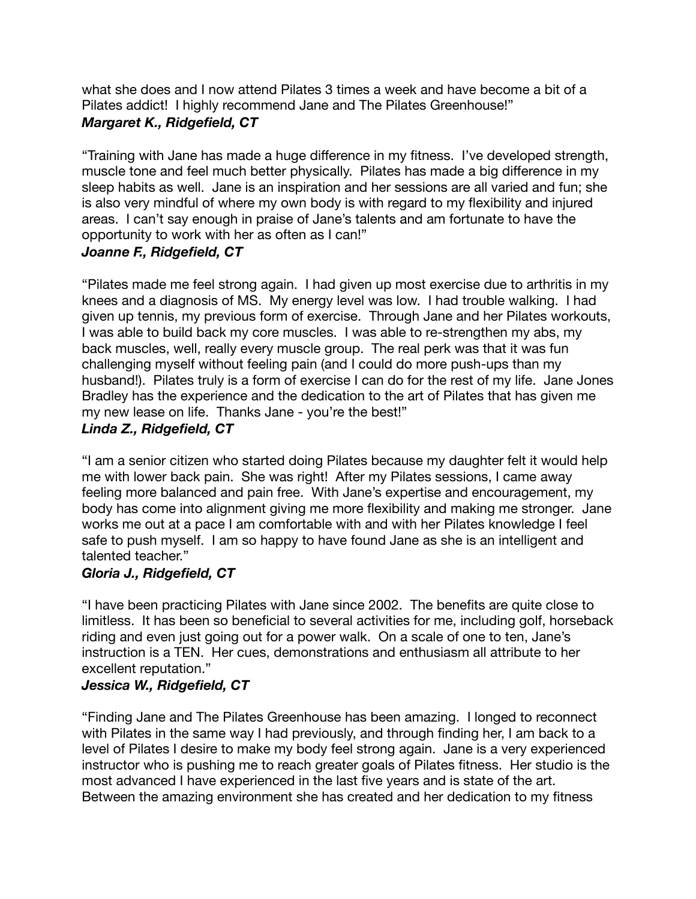what she does and I now attend Pilates 3 times a week and have become a bit of a Pilates addict! I highly recommend Jane and The Pilates Greenhouse!" *Margaret K., Ridgefield, CT* 

"Training with Jane has made a huge difference in my fitness. I've developed strength, muscle tone and feel much better physically. Pilates has made a big difference in my sleep habits as well. Jane is an inspiration and her sessions are all varied and fun; she is also very mindful of where my own body is with regard to my flexibility and injured areas. I can't say enough in praise of Jane's talents and am fortunate to have the opportunity to work with her as often as I can!"

### *Joanne F., Ridgefield, CT*

"Pilates made me feel strong again. I had given up most exercise due to arthritis in my knees and a diagnosis of MS. My energy level was low. I had trouble walking. I had given up tennis, my previous form of exercise. Through Jane and her Pilates workouts, I was able to build back my core muscles. I was able to re-strengthen my abs, my back muscles, well, really every muscle group. The real perk was that it was fun challenging myself without feeling pain (and I could do more push-ups than my husband!). Pilates truly is a form of exercise I can do for the rest of my life. Jane Jones Bradley has the experience and the dedication to the art of Pilates that has given me my new lease on life. Thanks Jane - you're the best!"

# *Linda Z., Ridgefield, CT*

"I am a senior citizen who started doing Pilates because my daughter felt it would help me with lower back pain. She was right! After my Pilates sessions, I came away feeling more balanced and pain free. With Jane's expertise and encouragement, my body has come into alignment giving me more flexibility and making me stronger. Jane works me out at a pace I am comfortable with and with her Pilates knowledge I feel safe to push myself. I am so happy to have found Jane as she is an intelligent and talented teacher."

### *Gloria J., Ridgefield, CT*

"I have been practicing Pilates with Jane since 2002. The benefits are quite close to limitless. It has been so beneficial to several activities for me, including golf, horseback riding and even just going out for a power walk. On a scale of one to ten, Jane's instruction is a TEN. Her cues, demonstrations and enthusiasm all attribute to her excellent reputation."

### *Jessica W., Ridgefield, CT*

"Finding Jane and The Pilates Greenhouse has been amazing. I longed to reconnect with Pilates in the same way I had previously, and through finding her, I am back to a level of Pilates I desire to make my body feel strong again. Jane is a very experienced instructor who is pushing me to reach greater goals of Pilates fitness. Her studio is the most advanced I have experienced in the last five years and is state of the art. Between the amazing environment she has created and her dedication to my fitness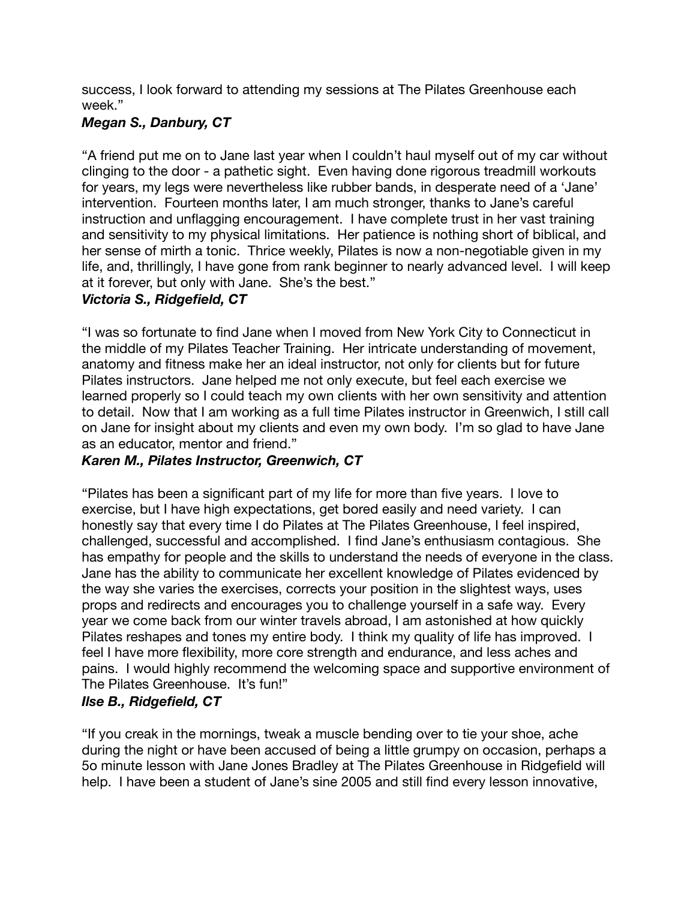success, I look forward to attending my sessions at The Pilates Greenhouse each week."

### *Megan S., Danbury, CT*

"A friend put me on to Jane last year when I couldn't haul myself out of my car without clinging to the door - a pathetic sight. Even having done rigorous treadmill workouts for years, my legs were nevertheless like rubber bands, in desperate need of a 'Jane' intervention. Fourteen months later, I am much stronger, thanks to Jane's careful instruction and unflagging encouragement. I have complete trust in her vast training and sensitivity to my physical limitations. Her patience is nothing short of biblical, and her sense of mirth a tonic. Thrice weekly, Pilates is now a non-negotiable given in my life, and, thrillingly, I have gone from rank beginner to nearly advanced level. I will keep at it forever, but only with Jane. She's the best."

### *Victoria S., Ridgefield, CT*

"I was so fortunate to find Jane when I moved from New York City to Connecticut in the middle of my Pilates Teacher Training. Her intricate understanding of movement, anatomy and fitness make her an ideal instructor, not only for clients but for future Pilates instructors. Jane helped me not only execute, but feel each exercise we learned properly so I could teach my own clients with her own sensitivity and attention to detail. Now that I am working as a full time Pilates instructor in Greenwich, I still call on Jane for insight about my clients and even my own body. I'm so glad to have Jane as an educator, mentor and friend."

### *Karen M., Pilates Instructor, Greenwich, CT*

"Pilates has been a significant part of my life for more than five years. I love to exercise, but I have high expectations, get bored easily and need variety. I can honestly say that every time I do Pilates at The Pilates Greenhouse, I feel inspired, challenged, successful and accomplished. I find Jane's enthusiasm contagious. She has empathy for people and the skills to understand the needs of everyone in the class. Jane has the ability to communicate her excellent knowledge of Pilates evidenced by the way she varies the exercises, corrects your position in the slightest ways, uses props and redirects and encourages you to challenge yourself in a safe way. Every year we come back from our winter travels abroad, I am astonished at how quickly Pilates reshapes and tones my entire body. I think my quality of life has improved. I feel I have more flexibility, more core strength and endurance, and less aches and pains. I would highly recommend the welcoming space and supportive environment of The Pilates Greenhouse. It's fun!"

### *Ilse B., Ridgefield, CT*

"If you creak in the mornings, tweak a muscle bending over to tie your shoe, ache during the night or have been accused of being a little grumpy on occasion, perhaps a 5o minute lesson with Jane Jones Bradley at The Pilates Greenhouse in Ridgefield will help. I have been a student of Jane's sine 2005 and still find every lesson innovative,